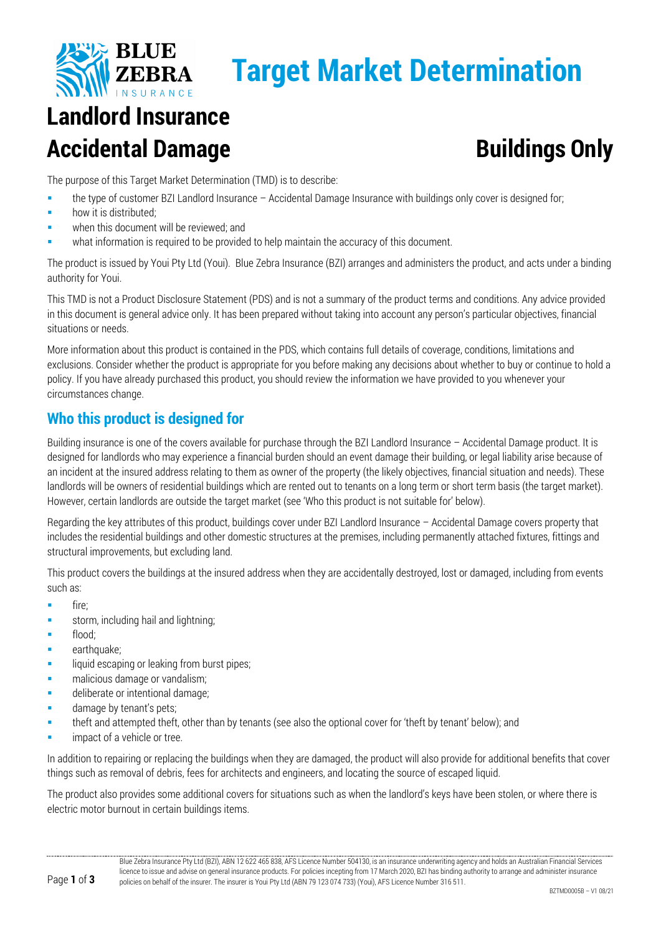

# **Target Market Determination**

## **Landlord Insurance** Accidental Damage **Buildings Only**

The purpose of this Target Market Determination (TMD) is to describe:

- the type of customer BZI Landlord Insurance Accidental Damage Insurance with buildings only cover is designed for;
- how it is distributed;
- when this document will be reviewed; and
- what information is required to be provided to help maintain the accuracy of this document.

The product is issued by Youi Pty Ltd (Youi). Blue Zebra Insurance (BZI) arranges and administers the product, and acts under a binding authority for Youi.

This TMD is not a Product Disclosure Statement (PDS) and is not a summary of the product terms and conditions. Any advice provided in this document is general advice only. It has been prepared without taking into account any person's particular objectives, financial situations or needs.

More information about this product is contained in the PDS, which contains full details of coverage, conditions, limitations and exclusions. Consider whether the product is appropriate for you before making any decisions about whether to buy or continue to hold a policy. If you have already purchased this product, you should review the information we have provided to you whenever your circumstances change.

### **Who this product is designed for**

Building insurance is one of the covers available for purchase through the BZI Landlord Insurance – Accidental Damage product. It is designed for landlords who may experience a financial burden should an event damage their building, or legal liability arise because of an incident at the insured address relating to them as owner of the property (the likely objectives, financial situation and needs). These landlords will be owners of residential buildings which are rented out to tenants on a long term or short term basis (the target market). However, certain landlords are outside the target market (see 'Who this product is not suitable for' below).

Regarding the key attributes of this product, buildings cover under BZI Landlord Insurance – Accidental Damage covers property that includes the residential buildings and other domestic structures at the premises, including permanently attached fixtures, fittings and structural improvements, but excluding land.

This product covers the buildings at the insured address when they are accidentally destroyed, lost or damaged, including from events such as:

- **fire**
- storm, including hail and lightning;
- flood;
- earthquake;
- liquid escaping or leaking from burst pipes;
- **n** malicious damage or vandalism;
- **deliberate or intentional damage;**
- damage by tenant's pets;
- theft and attempted theft, other than by tenants (see also the optional cover for 'theft by tenant' below); and
- impact of a vehicle or tree.

In addition to repairing or replacing the buildings when they are damaged, the product will also provide for additional benefits that cover things such as removal of debris, fees for architects and engineers, and locating the source of escaped liquid.

The product also provides some additional covers for situations such as when the landlord's keys have been stolen, or where there is electric motor burnout in certain buildings items.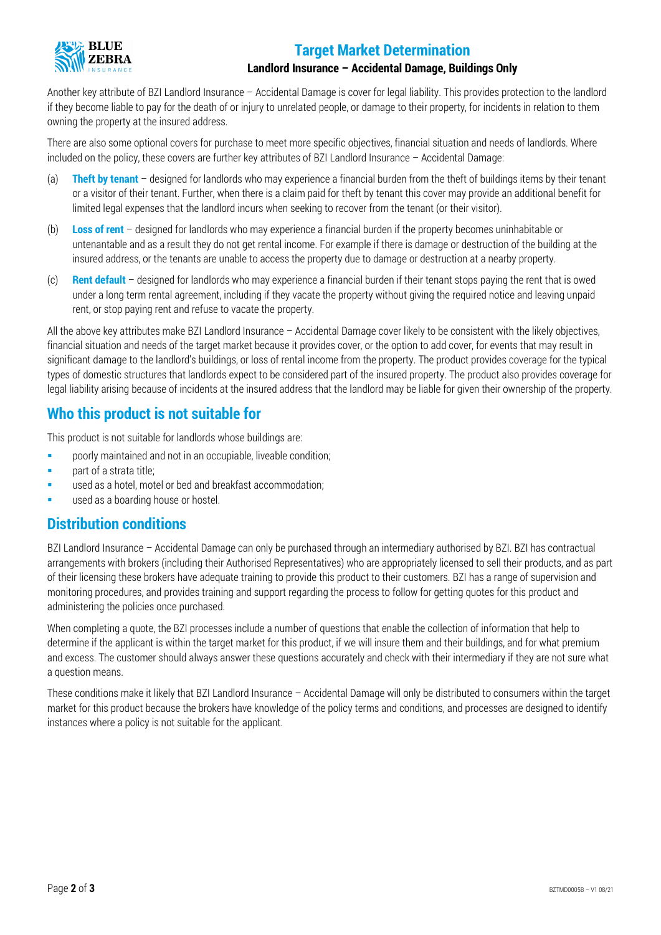

#### **Target Market Determination**

#### **Landlord Insurance – Accidental Damage, Buildings Only**

Another key attribute of BZI Landlord Insurance – Accidental Damage is cover for legal liability. This provides protection to the landlord if they become liable to pay for the death of or injury to unrelated people, or damage to their property, for incidents in relation to them owning the property at the insured address.

There are also some optional covers for purchase to meet more specific objectives, financial situation and needs of landlords. Where included on the policy, these covers are further key attributes of BZI Landlord Insurance – Accidental Damage:

- (a) **Theft by tenant** designed for landlords who may experience a financial burden from the theft of buildings items by their tenant or a visitor of their tenant. Further, when there is a claim paid for theft by tenant this cover may provide an additional benefit for limited legal expenses that the landlord incurs when seeking to recover from the tenant (or their visitor).
- (b) **Loss of rent** designed for landlords who may experience a financial burden if the property becomes uninhabitable or untenantable and as a result they do not get rental income. For example if there is damage or destruction of the building at the insured address, or the tenants are unable to access the property due to damage or destruction at a nearby property.
- (c) **Rent default** designed for landlords who may experience a financial burden if their tenant stops paying the rent that is owed under a long term rental agreement, including if they vacate the property without giving the required notice and leaving unpaid rent, or stop paying rent and refuse to vacate the property.

All the above key attributes make BZI Landlord Insurance – Accidental Damage cover likely to be consistent with the likely objectives, financial situation and needs of the target market because it provides cover, or the option to add cover, for events that may result in significant damage to the landlord's buildings, or loss of rental income from the property. The product provides coverage for the typical types of domestic structures that landlords expect to be considered part of the insured property. The product also provides coverage for legal liability arising because of incidents at the insured address that the landlord may be liable for given their ownership of the property.

#### **Who this product is not suitable for**

This product is not suitable for landlords whose buildings are:

- **Phonorly maintained and not in an occupiable, liveable condition;**
- part of a strata title;
- used as a hotel, motel or bed and breakfast accommodation;
- used as a boarding house or hostel.

#### **Distribution conditions**

BZI Landlord Insurance – Accidental Damage can only be purchased through an intermediary authorised by BZI. BZI has contractual arrangements with brokers (including their Authorised Representatives) who are appropriately licensed to sell their products, and as part of their licensing these brokers have adequate training to provide this product to their customers. BZI has a range of supervision and monitoring procedures, and provides training and support regarding the process to follow for getting quotes for this product and administering the policies once purchased.

When completing a quote, the BZI processes include a number of questions that enable the collection of information that help to determine if the applicant is within the target market for this product, if we will insure them and their buildings, and for what premium and excess. The customer should always answer these questions accurately and check with their intermediary if they are not sure what a question means.

These conditions make it likely that BZI Landlord Insurance – Accidental Damage will only be distributed to consumers within the target market for this product because the brokers have knowledge of the policy terms and conditions, and processes are designed to identify instances where a policy is not suitable for the applicant.